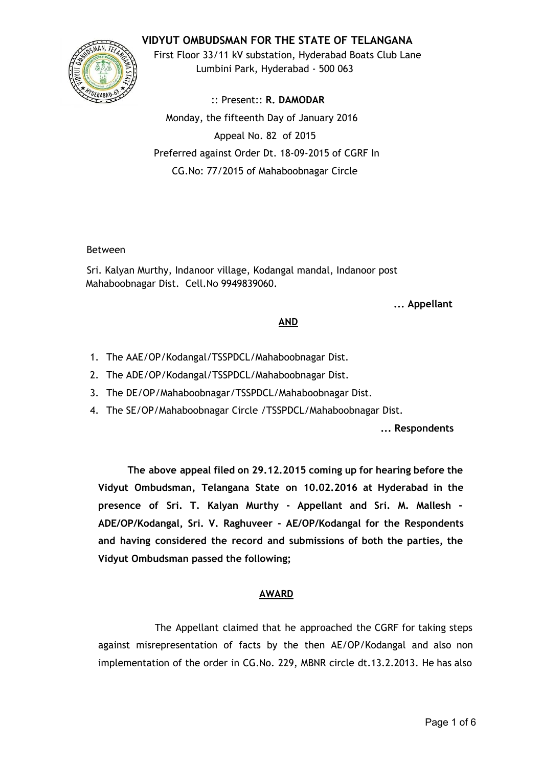# **VIDYUT OMBUDSMAN FOR THE STATE OF TELANGANA**



First Floor 33/11 kV substation, Hyderabad Boats Club Lane Lumbini Park, Hyderabad ‐ 500 063

:: Present:: **R. DAMODAR** Monday, the fifteenth Day of January 2016 Appeal No. 82 of 2015 Preferred against Order Dt. 18‐09‐2015 of CGRF In CG.No: 77/2015 of Mahaboobnagar Circle

### Between

Sri. Kalyan Murthy, Indanoor village, Kodangal mandal, Indanoor post Mahaboobnagar Dist. Cell.No 9949839060.

**... Appellant**

#### **AND**

- 1. The AAE/OP/Kodangal/TSSPDCL/Mahaboobnagar Dist.
- 2. The ADE/OP/Kodangal/TSSPDCL/Mahaboobnagar Dist.
- 3. The DE/OP/Mahaboobnagar/TSSPDCL/Mahaboobnagar Dist.
- 4. The SE/OP/Mahaboobnagar Circle /TSSPDCL/Mahaboobnagar Dist.

**... Respondents**

**The above appeal filed on 29.12.2015 coming up for hearing before the Vidyut Ombudsman, Telangana State on 10.02.2016 at Hyderabad in the presence of Sri. T. Kalyan Murthy ‐ Appellant and Sri. M. Mallesh ‐ ADE/OP/Kodangal, Sri. V. Raghuveer ‐ AE/OP/Kodangal for the Respondents and having considered the record and submissions of both the parties, the Vidyut Ombudsman passed the following;**

### **AWARD**

The Appellant claimed that he approached the CGRF for taking steps against misrepresentation of facts by the then AE/OP/Kodangal and also non implementation of the order in CG.No. 229, MBNR circle dt.13.2.2013. He has also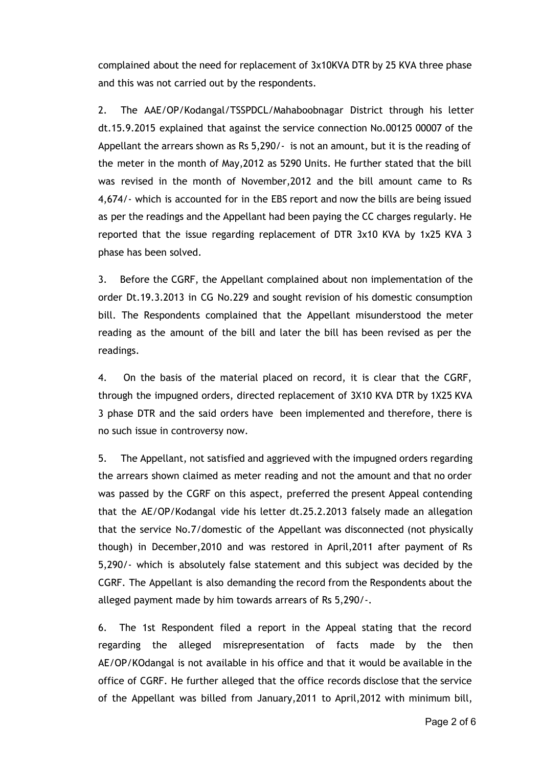complained about the need for replacement of 3x10KVA DTR by 25 KVA three phase and this was not carried out by the respondents.

2. The AAE/OP/Kodangal/TSSPDCL/Mahaboobnagar District through his letter dt.15.9.2015 explained that against the service connection No.00125 00007 of the Appellant the arrears shown as Rs 5,290/‐ is not an amount, but it is the reading of the meter in the month of May,2012 as 5290 Units. He further stated that the bill was revised in the month of November,2012 and the bill amount came to Rs 4,674/‐ which is accounted for in the EBS report and now the bills are being issued as per the readings and the Appellant had been paying the CC charges regularly. He reported that the issue regarding replacement of DTR 3x10 KVA by 1x25 KVA 3 phase has been solved.

3. Before the CGRF, the Appellant complained about non implementation of the order Dt.19.3.2013 in CG No.229 and sought revision of his domestic consumption bill. The Respondents complained that the Appellant misunderstood the meter reading as the amount of the bill and later the bill has been revised as per the readings.

4. On the basis of the material placed on record, it is clear that the CGRF, through the impugned orders, directed replacement of 3X10 KVA DTR by 1X25 KVA 3 phase DTR and the said orders have been implemented and therefore, there is no such issue in controversy now.

5. The Appellant, not satisfied and aggrieved with the impugned orders regarding the arrears shown claimed as meter reading and not the amount and that no order was passed by the CGRF on this aspect, preferred the present Appeal contending that the AE/OP/Kodangal vide his letter dt.25.2.2013 falsely made an allegation that the service No.7/domestic of the Appellant was disconnected (not physically though) in December,2010 and was restored in April,2011 after payment of Rs 5,290/‐ which is absolutely false statement and this subject was decided by the CGRF. The Appellant is also demanding the record from the Respondents about the alleged payment made by him towards arrears of Rs 5,290/‐.

6. The 1st Respondent filed a report in the Appeal stating that the record regarding the alleged misrepresentation of facts made by the then AE/OP/KOdangal is not available in his office and that it would be available in the office of CGRF. He further alleged that the office records disclose that the service of the Appellant was billed from January,2011 to April,2012 with minimum bill,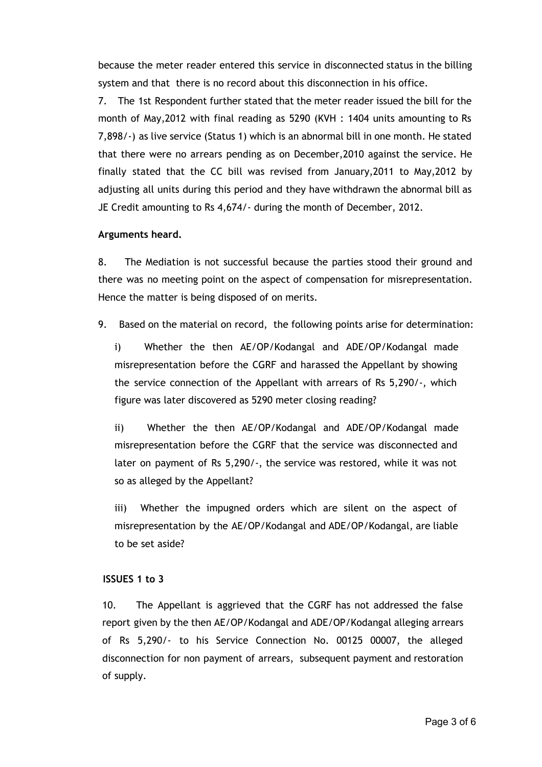because the meter reader entered this service in disconnected status in the billing system and that there is no record about this disconnection in his office.

7. The 1st Respondent further stated that the meter reader issued the bill for the month of May,2012 with final reading as 5290 (KVH : 1404 units amounting to Rs 7,898/‐) as live service (Status 1) which is an abnormal bill in one month. He stated that there were no arrears pending as on December,2010 against the service. He finally stated that the CC bill was revised from January,2011 to May,2012 by adjusting all units during this period and they have withdrawn the abnormal bill as JE Credit amounting to Rs 4,674/‐ during the month of December, 2012.

### **Arguments heard.**

8. The Mediation is not successful because the parties stood their ground and there was no meeting point on the aspect of compensation for misrepresentation. Hence the matter is being disposed of on merits.

9. Based on the material on record, the following points arise for determination:

i) Whether the then AE/OP/Kodangal and ADE/OP/Kodangal made misrepresentation before the CGRF and harassed the Appellant by showing the service connection of the Appellant with arrears of Rs 5,290/‐, which figure was later discovered as 5290 meter closing reading?

ii) Whether the then AE/OP/Kodangal and ADE/OP/Kodangal made misrepresentation before the CGRF that the service was disconnected and later on payment of Rs 5,290/‐, the service was restored, while it was not so as alleged by the Appellant?

iii) Whether the impugned orders which are silent on the aspect of misrepresentation by the AE/OP/Kodangal and ADE/OP/Kodangal, are liable to be set aside?

### **ISSUES 1 to 3**

10. The Appellant is aggrieved that the CGRF has not addressed the false report given by the then AE/OP/Kodangal and ADE/OP/Kodangal alleging arrears of Rs 5,290/‐ to his Service Connection No. 00125 00007, the alleged disconnection for non payment of arrears, subsequent payment and restoration of supply.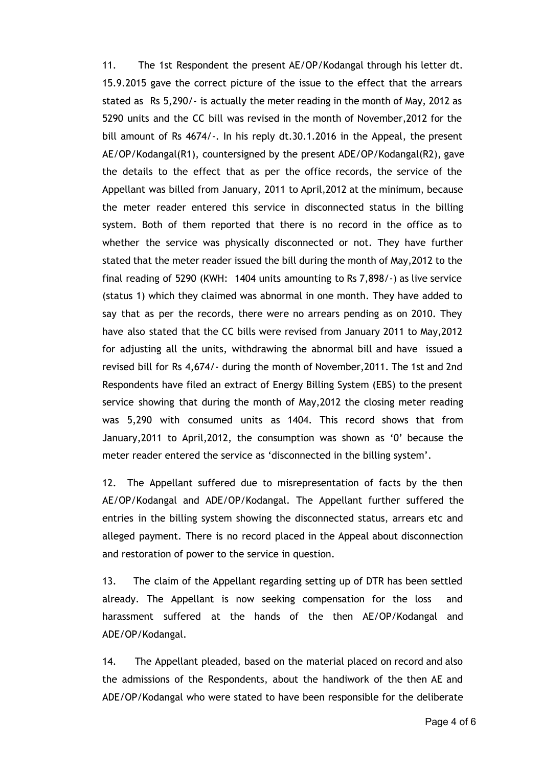11. The 1st Respondent the present AE/OP/Kodangal through his letter dt. 15.9.2015 gave the correct picture of the issue to the effect that the arrears stated as Rs 5,290/‐ is actually the meter reading in the month of May, 2012 as 5290 units and the CC bill was revised in the month of November,2012 for the bill amount of Rs 4674/-. In his reply dt.30.1.2016 in the Appeal, the present AE/OP/Kodangal(R1), countersigned by the present ADE/OP/Kodangal(R2), gave the details to the effect that as per the office records, the service of the Appellant was billed from January, 2011 to April,2012 at the minimum, because the meter reader entered this service in disconnected status in the billing system. Both of them reported that there is no record in the office as to whether the service was physically disconnected or not. They have further stated that the meter reader issued the bill during the month of May,2012 to the final reading of 5290 (KWH: 1404 units amounting to Rs 7,898/‐) as live service (status 1) which they claimed was abnormal in one month. They have added to say that as per the records, there were no arrears pending as on 2010. They have also stated that the CC bills were revised from January 2011 to May,2012 for adjusting all the units, withdrawing the abnormal bill and have issued a revised bill for Rs 4,674/‐ during the month of November,2011. The 1st and 2nd Respondents have filed an extract of Energy Billing System (EBS) to the present service showing that during the month of May,2012 the closing meter reading was 5,290 with consumed units as 1404. This record shows that from January,2011 to April,2012, the consumption was shown as '0' because the meter reader entered the service as 'disconnected in the billing system'.

12. The Appellant suffered due to misrepresentation of facts by the then AE/OP/Kodangal and ADE/OP/Kodangal. The Appellant further suffered the entries in the billing system showing the disconnected status, arrears etc and alleged payment. There is no record placed in the Appeal about disconnection and restoration of power to the service in question.

13. The claim of the Appellant regarding setting up of DTR has been settled already. The Appellant is now seeking compensation for the loss and harassment suffered at the hands of the then AE/OP/Kodangal and ADE/OP/Kodangal.

14. The Appellant pleaded, based on the material placed on record and also the admissions of the Respondents, about the handiwork of the then AE and ADE/OP/Kodangal who were stated to have been responsible for the deliberate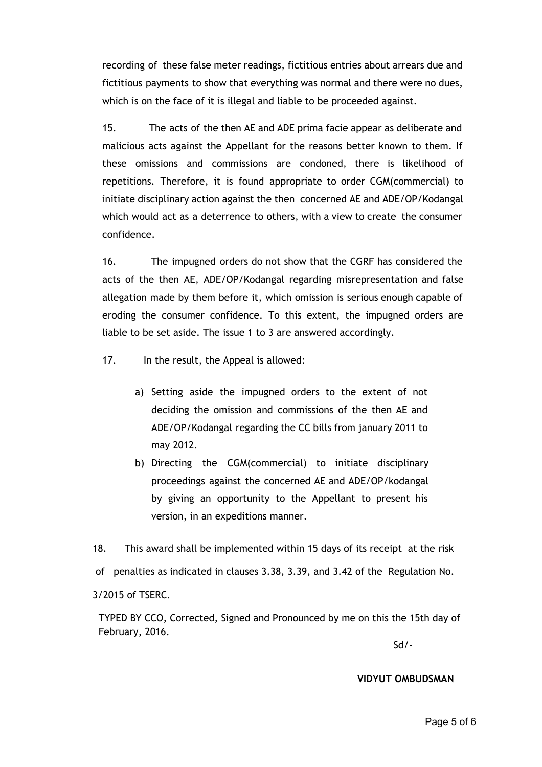recording of these false meter readings, fictitious entries about arrears due and fictitious payments to show that everything was normal and there were no dues, which is on the face of it is illegal and liable to be proceeded against.

15. The acts of the then AE and ADE prima facie appear as deliberate and malicious acts against the Appellant for the reasons better known to them. If these omissions and commissions are condoned, there is likelihood of repetitions. Therefore, it is found appropriate to order CGM(commercial) to initiate disciplinary action against the then concerned AE and ADE/OP/Kodangal which would act as a deterrence to others, with a view to create the consumer confidence.

16. The impugned orders do not show that the CGRF has considered the acts of the then AE, ADE/OP/Kodangal regarding misrepresentation and false allegation made by them before it, which omission is serious enough capable of eroding the consumer confidence. To this extent, the impugned orders are liable to be set aside. The issue 1 to 3 are answered accordingly.

17. In the result, the Appeal is allowed:

- a) Setting aside the impugned orders to the extent of not deciding the omission and commissions of the then AE and ADE/OP/Kodangal regarding the CC bills from january 2011 to may 2012.
- b) Directing the CGM(commercial) to initiate disciplinary proceedings against the concerned AE and ADE/OP/kodangal by giving an opportunity to the Appellant to present his version, in an expeditions manner.

18. This award shall be implemented within 15 days of its receipt at the risk of penalties as indicated in clauses 3.38, 3.39, and 3.42 of the Regulation No. 3/2015 of TSERC.

TYPED BY CCO, Corrected, Signed and Pronounced by me on this the 15th day of February, 2016.

Sd/‐

#### **VIDYUT OMBUDSMAN**